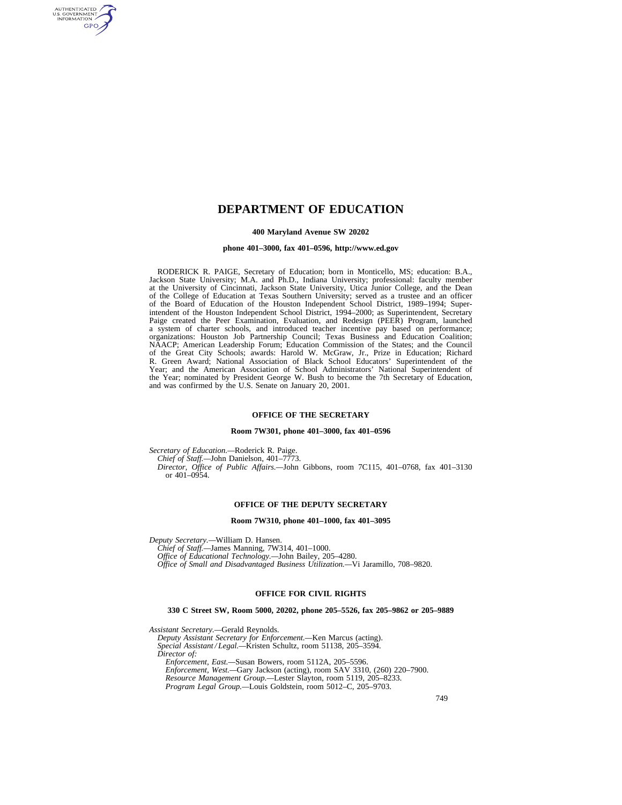# **DEPARTMENT OF EDUCATION**

#### **400 Maryland Avenue SW 20202**

#### **phone 401–3000, fax 401–0596, http://www.ed.gov**

RODERICK R. PAIGE, Secretary of Education; born in Monticello, MS; education: B.A., Jackson State University; M.A. and Ph.D., Indiana University; professional: faculty member at the University of Cincinnati, Jackson State University, Utica Junior College, and the Dean of the College of Education at Texas Southern University; served as a trustee and an officer of the Board of Education of the Houston Independent School District, 1989–1994; Superintendent of the Houston Independent School District, 1994–2000; as Superintendent, Secretary Paige created the Peer Examination, Evaluation, and Redesign (PEER) Program, launched a system of charter schools, and introduced teacher incentive pay based on performance; organizations: Houston Job Partnership Council; Texas Business and Education Coalition; NAACP; American Leadership Forum; Education Commission of the States; and the Council of the Great City Schools; awards: Harold W. McGraw, Jr., Prize in Education; Richard R. Green Award; National Association of Black School Educators' Superintendent of the Year; and the American Association of School Administrators' National Superintendent of the Year; nominated by President George W. Bush to become the 7th Secretary of Education, and was confirmed by the U.S. Senate on January 20, 2001.

#### **OFFICE OF THE SECRETARY**

#### **Room 7W301, phone 401–3000, fax 401–0596**

*Secretary of Education.—*Roderick R. Paige.

AUTHENTICATED<br>U.S. GOVERNMENT<br>INFORMATION GPO

> *Chief of Staff.—*John Danielson, 401–7773. *Director, Office of Public Affairs.—*John Gibbons, room 7C115, 401–0768, fax 401–3130

or 401–0954.

#### **OFFICE OF THE DEPUTY SECRETARY**

#### **Room 7W310, phone 401–1000, fax 401–3095**

*Deputy Secretary.—*William D. Hansen.

*Chief of Staff.—*James Manning, 7W314, 401–1000.

*Office of Educational Technology.—*John Bailey, 205–4280. *Office of Small and Disadvantaged Business Utilization.—*Vi Jaramillo, 708–9820.

### **OFFICE FOR CIVIL RIGHTS**

#### **330 C Street SW, Room 5000, 20202, phone 205–5526, fax 205–9862 or 205–9889**

*Assistant Secretary.—*Gerald Reynolds.

*Deputy Assistant Secretary for Enforcement.—*Ken Marcus (acting).

*Special Assistant / Legal.—*Kristen Schultz, room 51138, 205–3594. *Director of:* 

*Enforcement, East.—*Susan Bowers, room 5112A, 205–5596. *Enforcement, West.—*Gary Jackson (acting), room SAV 3310, (260) 220–7900. *Resource Management Group.—*Lester Slayton, room 5119, 205–8233. *Program Legal Group.—*Louis Goldstein, room 5012–C, 205–9703.

749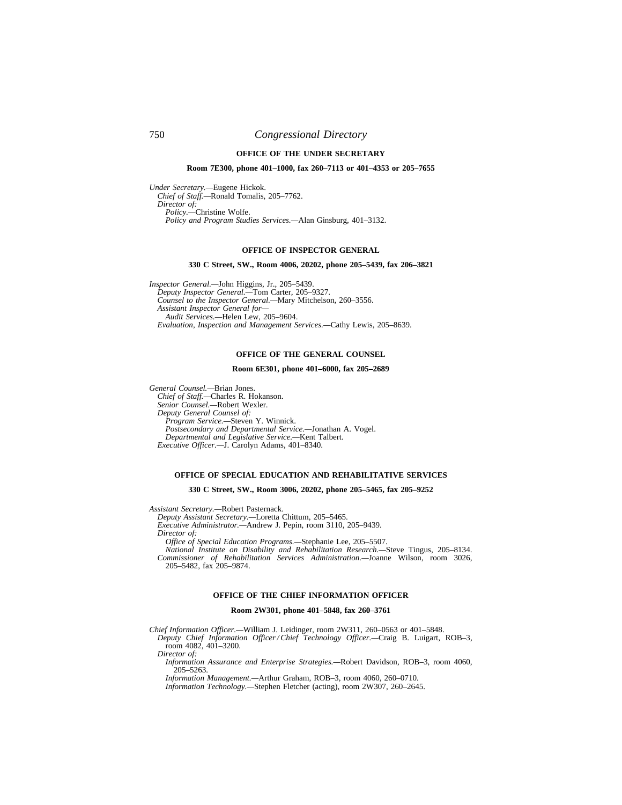# 750 *Congressional Directory*

## **OFFICE OF THE UNDER SECRETARY**

### **Room 7E300, phone 401–1000, fax 260–7113 or 401–4353 or 205–7655**

*Under Secretary.—*Eugene Hickok. *Chief of Staff.—*Ronald Tomalis, 205–7762. *Director of: Policy.—*Christine Wolfe. *Policy and Program Studies Services.—*Alan Ginsburg, 401–3132.

### **OFFICE OF INSPECTOR GENERAL**

#### **330 C Street, SW., Room 4006, 20202, phone 205–5439, fax 206–3821**

*Inspector General.—*John Higgins, Jr., 205–5439. *Deputy Inspector General.—*Tom Carter, 205–9327. *Counsel to the Inspector General.—*Mary Mitchelson, 260–3556. *Assistant Inspector General for— Audit Services.—*Helen Lew, 205–9604. *Evaluation, Inspection and Management Services.—*Cathy Lewis, 205–8639.

### **OFFICE OF THE GENERAL COUNSEL**

#### **Room 6E301, phone 401–6000, fax 205–2689**

*General Counsel.—*Brian Jones. *Chief of Staff.—*Charles R. Hokanson. *Senior Counsel.—*Robert Wexler. *Deputy General Counsel of: Program Service.—*Steven Y. Winnick. *Postsecondary and Departmental Service.—*Jonathan A. Vogel. *Departmental and Legislative Service.—*Kent Talbert. *Executive Officer.—*J. Carolyn Adams, 401–8340.

### **OFFICE OF SPECIAL EDUCATION AND REHABILITATIVE SERVICES**

#### **330 C Street, SW., Room 3006, 20202, phone 205–5465, fax 205–9252**

*Assistant Secretary.—*Robert Pasternack.

*Deputy Assistant Secretary.—*Loretta Chittum, 205–5465.

*Executive Administrator.—*Andrew J. Pepin, room 3110, 205–9439.

*Director of:* 

*Office of Special Education Programs.—*Stephanie Lee, 205–5507.

*National Institute on Disability and Rehabilitation Research.—*Steve Tingus, 205–8134. *Commissioner of Rehabilitation Services Administration.—*Joanne Wilson, room 3026, 205–5482, fax 205–9874.

#### **OFFICE OF THE CHIEF INFORMATION OFFICER**

#### **Room 2W301, phone 401–5848, fax 260–3761**

*Chief Information Officer.—*William J. Leidinger, room 2W311, 260–0563 or 401–5848.

*Deputy Chief Information Officer / Chief Technology Officer.—*Craig B. Luigart, ROB–3, room 4082, 401–3200.

*Director of:* 

*Information Assurance and Enterprise Strategies.—*Robert Davidson, ROB–3, room 4060, 205–5263.

*Information Management.—*Arthur Graham, ROB–3, room 4060, 260–0710.

*Information Technology.—*Stephen Fletcher (acting), room 2W307, 260–2645.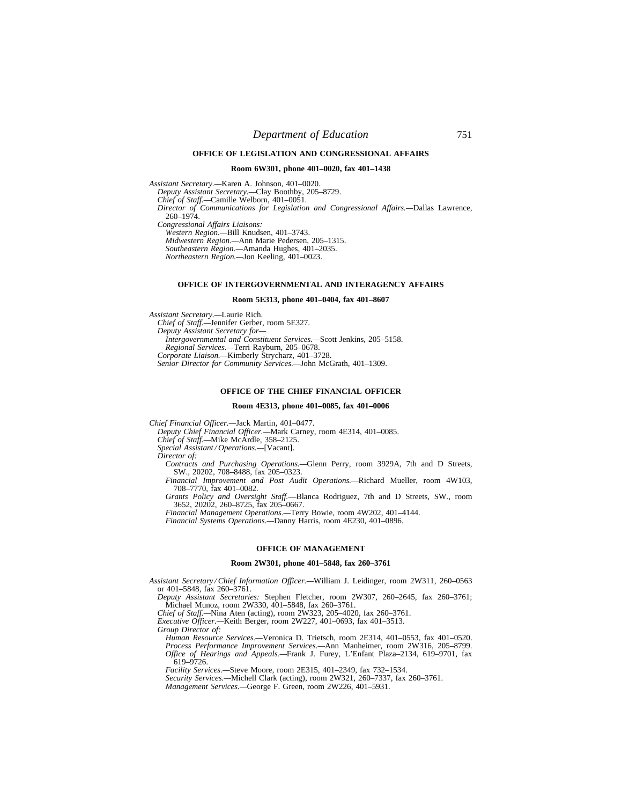### **OFFICE OF LEGISLATION AND CONGRESSIONAL AFFAIRS**

### **Room 6W301, phone 401–0020, fax 401–1438**

*Assistant Secretary.—*Karen A. Johnson, 401–0020. *Deputy Assistant Secretary.—*Clay Boothby, 205–8729. *Chief of Staff.—*Camille Welborn, 401–0051. *Director of Communications for Legislation and Congressional Affairs.—*Dallas Lawrence, 260–1974. *Congressional Affairs Liaisons: Western Region.—*Bill Knudsen, 401–3743. *Midwestern Region.—*Ann Marie Pedersen, 205–1315. *Southeastern Region.—*Amanda Hughes, 401–2035. *Northeastern Region.—*Jon Keeling, 401–0023.

### **OFFICE OF INTERGOVERNMENTAL AND INTERAGENCY AFFAIRS**

#### **Room 5E313, phone 401–0404, fax 401–8607**

*Assistant Secretary.—*Laurie Rich. *Chief of Staff.—*Jennifer Gerber, room 5E327. *Deputy Assistant Secretary for— Intergovernmental and Constituent Services.—*Scott Jenkins, 205–5158. *Regional Services.—*Terri Rayburn, 205–0678. *Corporate Liaison.—*Kimberly Strycharz, 401–3728. *Senior Director for Community Services.—*John McGrath, 401–1309.

#### **OFFICE OF THE CHIEF FINANCIAL OFFICER**

#### **Room 4E313, phone 401–0085, fax 401–0006**

*Chief Financial Officer.—*Jack Martin, 401–0477.

*Deputy Chief Financial Officer.—*Mark Carney, room 4E314, 401–0085.

*Chief of Staff.—*Mike McArdle, 358–2125.

*Special Assistant / Operations.—*[Vacant].

*Director of:* 

*Contracts and Purchasing Operations.—*Glenn Perry, room 3929A, 7th and D Streets, SW., 20202, 708–8488, fax 205–0323.

*Financial Improvement and Post Audit Operations.—*Richard Mueller, room 4W103, 708–7770, fax 401–0082.

*Grants Policy and Oversight Staff.*—Blanca Rodriguez, 7th and D Streets, SW., room 3652, 20202, 260–8725, fax 205–0667.

*Financial Management Operations.—*Terry Bowie, room 4W202, 401–4144.

*Financial Systems Operations.—*Danny Harris, room 4E230, 401–0896.

### **OFFICE OF MANAGEMENT**

### **Room 2W301, phone 401–5848, fax 260–3761**

*Assistant Secretary / Chief Information Officer.—*William J. Leidinger, room 2W311, 260–0563 or 401–5848, fax 260–3761.

*Deputy Assistant Secretaries:* Stephen Fletcher, room 2W307, 260–2645, fax 260–3761; Michael Munoz, room 2W330, 401–5848, fax 260–3761.

*Chief of Staff.—*Nina Aten (acting), room 2W323, 205–4020, fax 260–3761.

*Executive Officer.—*Keith Berger, room 2W227, 401–0693, fax 401–3513.

*Group Director of:* 

*Human Resource Services.—*Veronica D. Trietsch, room 2E314, 401–0553, fax 401–0520. *Process Performance Improvement Services.—*Ann Manheimer, room 2W316, 205–8799. *Office of Hearings and Appeals.—*Frank J. Furey, L'Enfant Plaza–2134, 619–9701, fax 619–9726.

*Facility Services.—*Steve Moore, room 2E315, 401–2349, fax 732–1534.

*Security Services.—*Michell Clark (acting), room 2W321, 260–7337, fax 260–3761.

*Management Services.—*George F. Green, room 2W226, 401–5931.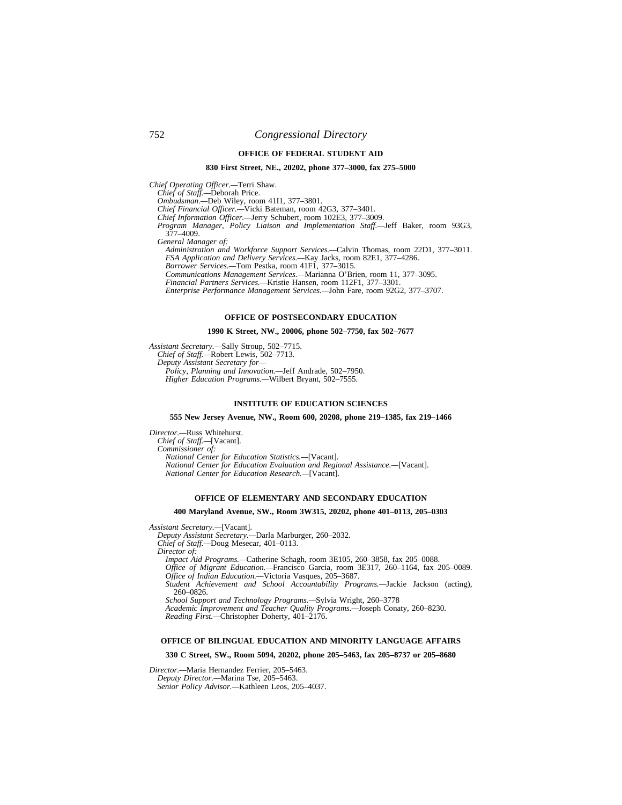#### **OFFICE OF FEDERAL STUDENT AID**

### **830 First Street, NE., 20202, phone 377–3000, fax 275–5000**

*Chief Operating Officer.—*Terri Shaw.

*Chief of Staff.—*Deborah Price.

*Ombudsman.—*Deb Wiley, room 41I1, 377–3801.

*Chief Financial Officer.—*Vicki Bateman, room 42G3, 377–3401.

*Chief Information Officer.—*Jerry Schubert, room 102E3, 377–3009.

*Program Manager, Policy Liaison and Implementation Staff.—*Jeff Baker, room 93G3, 377–4009.

*General Manager of:* 

*Administration and Workforce Support Services.—*Calvin Thomas, room 22D1, 377–3011. *FSA Application and Delivery Services.—*Kay Jacks, room 82E1, 377–4286.

*Borrower Services.—*Tom Pestka, room 41F1, 377–3015.

*Communications Management Services.—*Marianna O'Brien, room 11, 377–3095.

*Financial Partners Services.—*Kristie Hansen, room 112F1, 377–3301.

*Enterprise Performance Management Services.—*John Fare, room 92G2, 377–3707.

### **OFFICE OF POSTSECONDARY EDUCATION**

# **1990 K Street, NW., 20006, phone 502–7750, fax 502–7677**

*Assistant Secretary.—*Sally Stroup, 502–7715. *Chief of Staff.—*Robert Lewis, 502–7713. *Deputy Assistant Secretary for— Policy, Planning and Innovation.—*Jeff Andrade, 502–7950. *Higher Education Programs.—*Wilbert Bryant, 502–7555.

#### **INSTITUTE OF EDUCATION SCIENCES**

#### **555 New Jersey Avenue, NW., Room 600, 20208, phone 219–1385, fax 219–1466**

*Director.—*Russ Whitehurst. *Chief of Staff.—*[Vacant]. *Commissioner of: National Center for Education Statistics.—*[Vacant]. *National Center for Education Evaluation and Regional Assistance.—*[Vacant]. *National Center for Education Research.—*[Vacant].

### **OFFICE OF ELEMENTARY AND SECONDARY EDUCATION**

#### **400 Maryland Avenue, SW., Room 3W315, 20202, phone 401–0113, 205–0303**

*Assistant Secretary.—*[Vacant].

*Deputy Assistant Secretary.—*Darla Marburger, 260–2032. *Chief of Staff.—*Doug Mesecar, 401–0113.

*Director of:* 

*Impact Aid Programs.—*Catherine Schagh, room 3E105, 260–3858, fax 205–0088.

*Office of Migrant Education.—*Francisco Garcia, room 3E317, 260–1164, fax 205–0089. *Office of Indian Education.—*Victoria Vasques, 205–3687.

*Student Achievement and School Accountability Programs.—*Jackie Jackson (acting), 260–0826.

*School Support and Technology Programs.—*Sylvia Wright, 260–3778

*Academic Improvement and Teacher Quality Programs.—*Joseph Conaty, 260–8230. *Reading First.—*Christopher Doherty, 401–2176.

#### **OFFICE OF BILINGUAL EDUCATION AND MINORITY LANGUAGE AFFAIRS**

#### **330 C Street, SW., Room 5094, 20202, phone 205–5463, fax 205–8737 or 205–8680**

*Director.—*Maria Hernandez Ferrier, 205–5463.

*Deputy Director.—*Marina Tse, 205–5463.

*Senior Policy Advisor.—*Kathleen Leos, 205–4037.